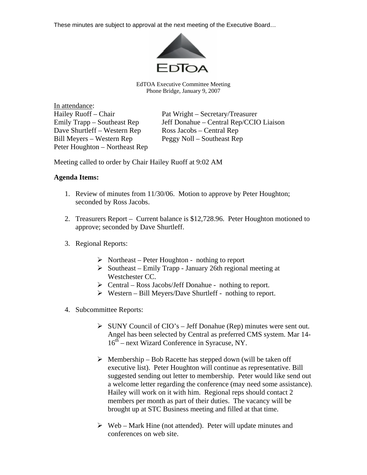These minutes are subject to approval at the next meeting of the Executive Board…



EdTOA Executive Committee Meeting Phone Bridge, January 9, 2007

In attendance: Dave Shurtleff – Western Rep Ross Jacobs – Central Rep Bill Meyers – Western Rep Peggy Noll – Southeast Rep Peter Houghton – Northeast Rep

Hailey Ruoff – Chair Pat Wright – Secretary/Treasurer Emily Trapp – Southeast Rep Jeff Donahue – Central Rep/CCIO Liaison

Meeting called to order by Chair Hailey Ruoff at 9:02 AM

## **Agenda Items:**

- 1. Review of minutes from 11/30/06. Motion to approve by Peter Houghton; seconded by Ross Jacobs.
- 2. Treasurers Report Current balance is \$12,728.96. Peter Houghton motioned to approve; seconded by Dave Shurtleff.
- 3. Regional Reports:
	- $\triangleright$  Northeast Peter Houghton nothing to report
	- $\triangleright$  Southeast Emily Trapp January 26th regional meeting at Westchester CC.
	- $\triangleright$  Central Ross Jacobs/Jeff Donahue nothing to report.
	- $\triangleright$  Western Bill Meyers/Dave Shurtleff nothing to report.
- 4. Subcommittee Reports:
	- $\triangleright$  SUNY Council of CIO's Jeff Donahue (Rep) minutes were sent out. Angel has been selected by Central as preferred CMS system. Mar 14- 16th – next Wizard Conference in Syracuse, NY.
	- $\triangleright$  Membership Bob Racette has stepped down (will be taken off executive list). Peter Houghton will continue as representative. Bill suggested sending out letter to membership. Peter would like send out a welcome letter regarding the conference (may need some assistance). Hailey will work on it with him. Regional reps should contact 2 members per month as part of their duties. The vacancy will be brought up at STC Business meeting and filled at that time.
	- $\triangleright$  Web Mark Hine (not attended). Peter will update minutes and conferences on web site.